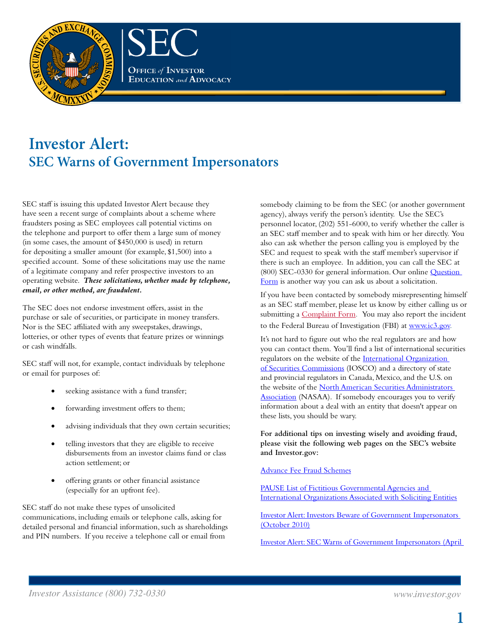

## **Investor Alert: SEC Warns of Government Impersonators**

SEC staff is issuing this updated Investor Alert because they have seen a recent surge of complaints about a scheme where fraudsters posing as SEC employees call potential victims on the telephone and purport to offer them a large sum of money (in some cases, the amount of \$450,000 is used) in return for depositing a smaller amount (for example, \$1,500) into a specified account. Some of these solicitations may use the name of a legitimate company and refer prospective investors to an operating website. *These solicitations, whether made by telephone, email, or other method, are fraudulent.*

The SEC does not endorse investment offers, assist in the purchase or sale of securities, or participate in money transfers. Nor is the SEC affiliated with any sweepstakes, drawings, lotteries, or other types of events that feature prizes or winnings or cash windfalls.

SEC staff will not, for example, contact individuals by telephone or email for purposes of:

- seeking assistance with a fund transfer;
- forwarding investment offers to them;
- advising individuals that they own certain securities;
- telling investors that they are eligible to receive disbursements from an investor claims fund or class action settlement; or
- offering grants or other financial assistance (especially for an upfront fee).

SEC staff do not make these types of unsolicited communications, including emails or telephone calls, asking for detailed personal and financial information, such as shareholdings and PIN numbers. If you receive a telephone call or email from

somebody claiming to be from the SEC (or another government agency), always verify the person's identity. Use the SEC's personnel locator, (202) 551-6000, to verify whether the caller is an SEC staff member and to speak with him or her directly. You also can ask whether the person calling you is employed by the SEC and request to speak with the staff member's supervisor if there is such an employee. In addition, you can call the SEC at (800) SEC-0330 for general information. Our online [Question](https://tts.sec.gov/oiea/QuestionsAndComments.html)  [Form](https://tts.sec.gov/oiea/QuestionsAndComments.html) is another way you can ask us about a solicitation.

If you have been contacted by somebody misrepresenting himself as an SEC staff member, please let us know by either calling us or submitting a [Complaint Form.](http://www.sec.gov/complaint/selectconduct.shtml) You may also report the incident to the Federal Bureau of Investigation (FBI) at [www.ic3.gov](http://www.sec.gov/cgi-bin/goodbye.cgi?www.ic3.gov/default.aspx/).

It's not hard to figure out who the real regulators are and how you can contact them. You'll find a list of international securities regulators on the website of the [International Organization](http://www.sec.gov/cgi-bin/goodbye.cgi?www.iosco.org/lists/display_members.cfm?memID=1&orderBy=none)  [of Securities Commissions](http://www.sec.gov/cgi-bin/goodbye.cgi?www.iosco.org/lists/display_members.cfm?memID=1&orderBy=none) (IOSCO) and a directory of state and provincial regulators in Canada, Mexico, and the U.S. on the website of the North American Securities Administrators [Association](http://www.sec.gov/cgi-bin/goodbye.cgi?www.nasaa.org) (NASAA). If somebody encourages you to verify information about a deal with an entity that doesn't appear on these lists, you should be wary.

**For additional tips on investing wisely and avoiding fraud, please visit the following web pages on the SEC's website and Investor.gov:**

## [Advance Fee Fraud Schemes](http://www.sec.gov/answers/advancefeefraud.htm)

[PAUSE List of Fictitious Governmental Agencies and](http://www.sec.gov/investor/oiepauselistfake.htm)  [International Organizations Associated with Soliciting Entities](http://www.sec.gov/investor/oiepauselistfake.htm)

[Investor Alert: Investors Beware of Government Impersonators](http://www.sec.gov/investor/alerts/govimpersonatorsalert.htm)  (October 2010)

[Investor Alert: SEC Warns of Government Impersonators](http://www.sec.gov/answers/impersonators.htm) (April